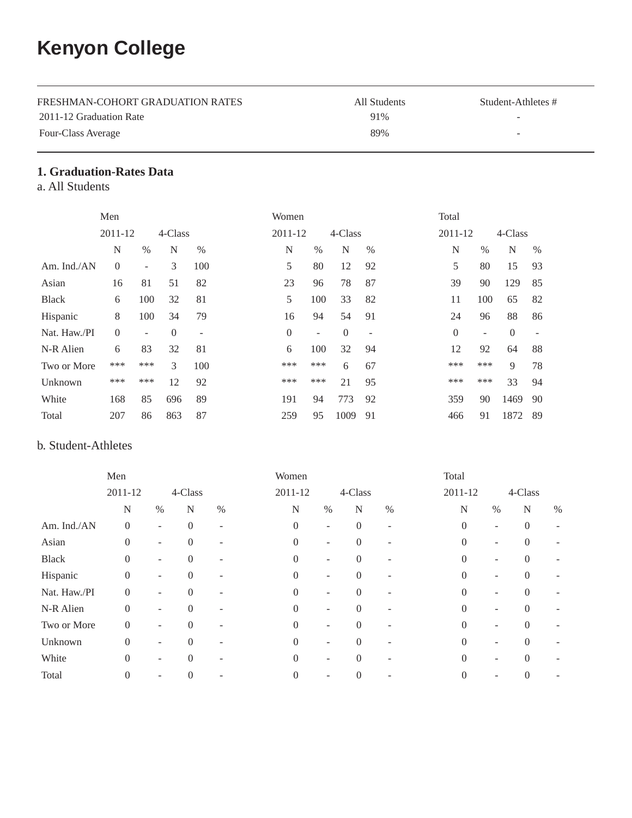# **Kenyon College**

| FRESHMAN-COHORT GRADUATION RATES | All Students | Student-Athletes #       |
|----------------------------------|--------------|--------------------------|
| 2011-12 Graduation Rate          | 91%          | $\overline{\phantom{a}}$ |
| Four-Class Average               | 89%          | -                        |

# **1. Graduation-Rates Data**

a. All Students

|                | Men            |                   |          |      | Women            |      |          |                   | Total    |      |          |      |
|----------------|----------------|-------------------|----------|------|------------------|------|----------|-------------------|----------|------|----------|------|
|                | 2011-12        |                   | 4-Class  |      | 2011-12          |      | 4-Class  |                   | 2011-12  |      | 4-Class  |      |
|                | N              | $\%$              | N        | $\%$ | N                | $\%$ | N        | $\%$              | N        | $\%$ | N        | $\%$ |
| Am. Ind./ $AN$ | $\overline{0}$ | $\qquad \qquad -$ | 3        | 100  | 5                | 80   | 12       | 92                | 5        | 80   | 15       | 93   |
| Asian          | 16             | 81                | 51       | 82   | 23               | 96   | 78       | 87                | 39       | 90   | 129      | 85   |
| <b>Black</b>   | 6              | 100               | 32       | 81   | 5                | 100  | 33       | 82                | 11       | 100  | 65       | 82   |
| Hispanic       | 8              | 100               | 34       | 79   | 16               | 94   | 54       | 91                | 24       | 96   | 88       | 86   |
| Nat. Haw./PI   | $\Omega$       | ٠                 | $\theta$ | -    | $\boldsymbol{0}$ | Ξ.   | $\theta$ | $\qquad \qquad -$ | $\theta$ | ٠    | $\theta$ |      |
| N-R Alien      | 6              | 83                | 32       | 81   | 6                | 100  | 32       | 94                | 12       | 92   | 64       | 88   |
| Two or More    | ***            | ***               | 3        | 100  | ***              | ***  | 6        | 67                | ***      | ***  | 9        | 78   |
| Unknown        | ***            | ***               | 12       | 92   | ***              | ***  | 21       | 95                | ***      | ***  | 33       | 94   |
| White          | 168            | 85                | 696      | 89   | 191              | 94   | 773      | 92                | 359      | 90   | 1469     | 90   |
| Total          | 207            | 86                | 863      | 87   | 259              | 95   | 1009     | 91                | 466      | 91   | 1872     | 89   |

## b. Student-Athletes

|              | Men                |                          |          |         | Women          |                          |          |      | Total    |                          |             |      |
|--------------|--------------------|--------------------------|----------|---------|----------------|--------------------------|----------|------|----------|--------------------------|-------------|------|
|              | 2011-12<br>4-Class |                          |          | 2011-12 |                |                          | 4-Class  |      | 2011-12  |                          | 4-Class     |      |
|              | N                  | $\%$                     | N        | $\%$    | N              | $\%$                     | N        | $\%$ | N        | $\%$                     | $\mathbf N$ | $\%$ |
| Am. Ind./AN  | $\boldsymbol{0}$   | $\overline{\phantom{a}}$ | $\theta$ | ۰       | $\overline{0}$ | ۰                        | $\theta$ | ۰    | $\theta$ | $\overline{\phantom{0}}$ | $\theta$    |      |
| Asian        | $\overline{0}$     | $\overline{\phantom{a}}$ | $\Omega$ |         | $\Omega$       | ٠                        | $\Omega$ |      | $\theta$ |                          | $\theta$    |      |
| <b>Black</b> | $\overline{0}$     | $\overline{\phantom{a}}$ | $\Omega$ |         | $\theta$       | ٠                        | $\Omega$ |      | $\theta$ | ٠                        | $\Omega$    |      |
| Hispanic     | $\overline{0}$     | $\overline{\phantom{a}}$ | $\Omega$ |         | $\theta$       | ٠                        | $\Omega$ |      | $\theta$ |                          | $\Omega$    |      |
| Nat. Haw./PI | $\overline{0}$     | $\overline{a}$           | $\Omega$ |         | $\Omega$       | ٠                        | $\Omega$ |      | $\Omega$ |                          | $\Omega$    |      |
| N-R Alien    | $\overline{0}$     | ٠                        | $\Omega$ |         | $\Omega$       | ٠                        | $\Omega$ |      | $\Omega$ | ٠                        | $\Omega$    |      |
| Two or More  | $\Omega$           | $\overline{\phantom{a}}$ | $\Omega$ |         | $\Omega$       | ٠                        | $\Omega$ |      | $\Omega$ | $\overline{\phantom{0}}$ | $\Omega$    |      |
| Unknown      | $\overline{0}$     | ٠                        | $\Omega$ |         | $\Omega$       | ٠                        | $\Omega$ |      | $\Omega$ | ۰                        | $\Omega$    |      |
| White        | $\Omega$           | $\overline{\phantom{a}}$ | $\Omega$ |         | $\Omega$       | $\overline{\phantom{0}}$ | $\Omega$ |      | $\Omega$ |                          | $\Omega$    |      |
| Total        | $\Omega$           |                          | $\Omega$ |         | $\Omega$       |                          | $\theta$ |      | $\Omega$ |                          | $\Omega$    |      |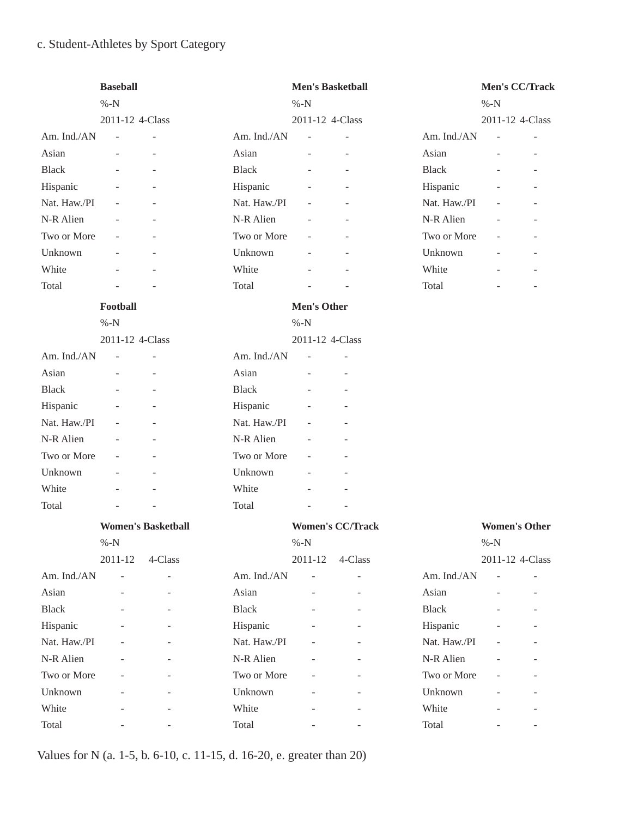# c. Student-Athletes by Sport Category

|              | <b>Baseball</b><br>$% -N$ |                           |              | <b>Men's Basketball</b><br>$% -N$ | Men's CC/Track<br>$% -N$ |              |                          |                          |
|--------------|---------------------------|---------------------------|--------------|-----------------------------------|--------------------------|--------------|--------------------------|--------------------------|
|              | 2011-12 4-Class           |                           |              | 2011-12 4-Class                   |                          |              | 2011-12 4-Class          |                          |
| Am. Ind./AN  | $\overline{\phantom{a}}$  |                           | Am. Ind./AN  | L,                                |                          | Am. Ind./AN  | $\overline{a}$           |                          |
| Asian        |                           |                           | Asian        | $\overline{a}$                    |                          | Asian        |                          |                          |
| <b>Black</b> | $\overline{\phantom{a}}$  |                           | <b>Black</b> |                                   |                          | <b>Black</b> |                          |                          |
| Hispanic     |                           |                           | Hispanic     |                                   |                          | Hispanic     |                          |                          |
| Nat. Haw./PI |                           |                           | Nat. Haw./PI |                                   |                          | Nat. Haw./PI |                          |                          |
| N-R Alien    | $\overline{\phantom{a}}$  |                           | N-R Alien    | $\overline{\phantom{m}}$          |                          | N-R Alien    | $\overline{\phantom{a}}$ |                          |
| Two or More  | $\overline{\phantom{a}}$  |                           | Two or More  |                                   |                          | Two or More  | $\overline{\phantom{a}}$ |                          |
| Unknown      |                           |                           | Unknown      |                                   |                          | Unknown      |                          |                          |
| White        | $\overline{\phantom{a}}$  |                           | White        | $\overline{\phantom{m}}$          |                          | White        | $\overline{\phantom{a}}$ |                          |
| Total        | ÷,                        |                           | Total        |                                   |                          | Total        |                          | $\overline{\phantom{a}}$ |
|              | Football                  |                           |              | Men's Other                       |                          |              |                          |                          |
|              | $% -N$                    |                           |              | $% -N$                            |                          |              |                          |                          |
|              | 2011-12 4-Class           |                           |              | 2011-12 4-Class                   |                          |              |                          |                          |
| Am. Ind./AN  | $\overline{\phantom{a}}$  | ÷,                        | Am. Ind./AN  | ÷,                                | $\bar{a}$                |              |                          |                          |
| Asian        |                           |                           | Asian        |                                   |                          |              |                          |                          |
| <b>Black</b> |                           |                           | <b>Black</b> |                                   |                          |              |                          |                          |
| Hispanic     |                           |                           | Hispanic     |                                   |                          |              |                          |                          |
| Nat. Haw./PI |                           |                           | Nat. Haw./PI |                                   |                          |              |                          |                          |
| N-R Alien    |                           |                           | N-R Alien    |                                   |                          |              |                          |                          |
| Two or More  |                           |                           | Two or More  | $\overline{a}$                    |                          |              |                          |                          |
| Unknown      |                           |                           | Unknown      |                                   |                          |              |                          |                          |
| White        |                           |                           | White        |                                   |                          |              |                          |                          |
| Total        |                           |                           | Total        |                                   |                          |              |                          |                          |
|              |                           | <b>Women's Basketball</b> |              |                                   | <b>Women's CC/Track</b>  |              | <b>Women's Other</b>     |                          |
|              | $% -N$                    |                           |              | $% -N$                            |                          |              | $% -N$                   |                          |
|              | $2011 - 12$               | 4-Class                   |              | 2011-12                           | 4-Class                  |              | 2011-12 4-Class          |                          |
| Am. Ind./AN  |                           |                           | Am. Ind./AN  | $\overline{a}$                    |                          | Am. Ind./AN  | $\sim$                   |                          |
| Asian        |                           |                           | Asian        | $\overline{\phantom{a}}$          |                          | Asian        |                          |                          |
| <b>Black</b> |                           |                           | <b>Black</b> |                                   |                          | <b>Black</b> |                          |                          |
| Hispanic     |                           |                           | Hispanic     |                                   |                          | Hispanic     |                          |                          |
| Nat. Haw./PI |                           |                           | Nat. Haw./PI |                                   |                          | Nat. Haw./PI |                          |                          |
| N-R Alien    |                           |                           | N-R Alien    |                                   |                          | N-R Alien    |                          |                          |
| Two or More  |                           |                           | Two or More  |                                   |                          | Two or More  |                          |                          |
| Unknown      |                           |                           | Unknown      |                                   |                          | Unknown      |                          |                          |
| White        |                           |                           | White        |                                   |                          | White        |                          |                          |
| Total        |                           |                           | Total        |                                   |                          | Total        |                          | $\overline{\phantom{a}}$ |

Values for N (a. 1-5, b. 6-10, c. 11-15, d. 16-20, e. greater than 20)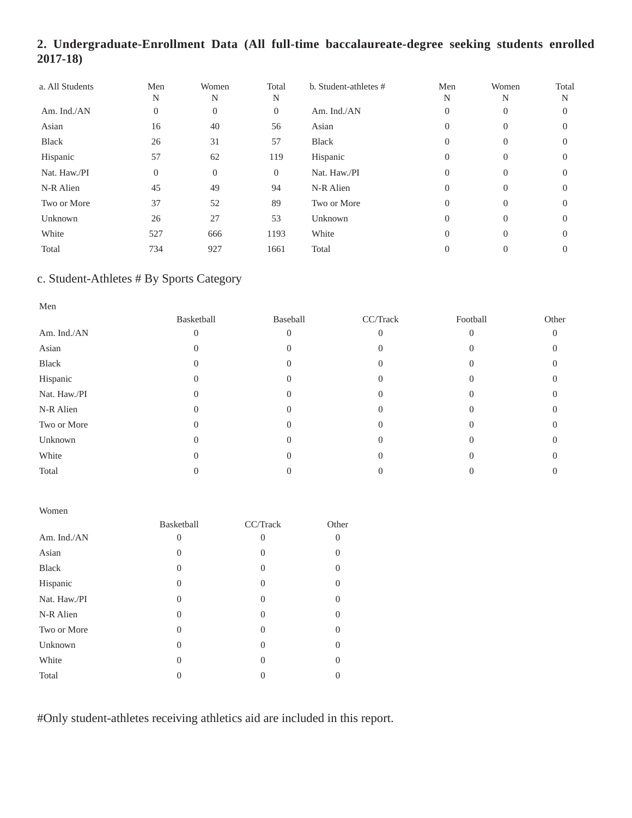# **2. Undergraduate-Enrollment Data (All full-time baccalaureate-degree seeking students enrolled 2017-18)**

| a. All Students | Men<br>N     | Women<br>N       | Total<br>N     | b. Student-athletes # | Men<br>N       | Women<br>N     | Total<br>N |
|-----------------|--------------|------------------|----------------|-----------------------|----------------|----------------|------------|
| Am. Ind./AN     | $\mathbf{0}$ | $\boldsymbol{0}$ | $\overline{0}$ | Am. Ind./AN           | $\overline{0}$ | 0              | 0          |
| Asian           | 16           | 40               | 56             | Asian                 | $\Omega$       | $\Omega$       | $\Omega$   |
| <b>Black</b>    | 26           | 31               | 57             | <b>Black</b>          | $\Omega$       | $\Omega$       | $\Omega$   |
| Hispanic        | 57           | 62               | 119            | Hispanic              | $\Omega$       | $\overline{0}$ | $\Omega$   |
| Nat. Haw./PI    | $\mathbf{0}$ | $\theta$         | $\overline{0}$ | Nat. Haw./PI          | $\Omega$       | $\Omega$       | $\Omega$   |
| N-R Alien       | 45           | 49               | 94             | N-R Alien             | $\Omega$       | $\Omega$       | $\Omega$   |
| Two or More     | 37           | 52               | 89             | Two or More           | $\Omega$       | $\Omega$       | $\Omega$   |
| Unknown         | 26           | 27               | 53             | Unknown               | $\Omega$       | $\Omega$       | $\Omega$   |
| White           | 527          | 666              | 1193           | White                 | $\Omega$       | $\Omega$       | $\Omega$   |
| Total           | 734          | 927              | 1661           | Total                 | $\Omega$       |                | $\Omega$   |

# c. Student-Athletes # By Sports Category

| Basketball | Baseball | CC/Track | Football | Other    |
|------------|----------|----------|----------|----------|
|            |          |          |          | $\Omega$ |
|            | 0        |          |          |          |
|            |          |          |          |          |
|            |          | U        |          |          |
|            |          |          |          |          |
|            |          |          |          |          |
|            | 0        |          |          |          |
|            |          |          |          |          |
|            |          |          |          |          |
|            |          |          |          |          |
|            |          |          |          |          |

#### Women

| Basketball   | CC/Track | Other    |
|--------------|----------|----------|
|              | $\theta$ | 0        |
| $\theta$     | $\theta$ | 0        |
| $\theta$     | $\theta$ | $\Omega$ |
| $\mathbf{0}$ | $\theta$ | 0        |
| $\theta$     | $\Omega$ | 0        |
| $\mathbf{0}$ | $\theta$ | 0        |
| $\theta$     | $\Omega$ | $\Omega$ |
| $_{0}$       | $\Omega$ | 0        |
| $\mathbf{0}$ | $\Omega$ | 0        |
|              | 0        |          |
|              |          |          |

#Only student-athletes receiving athletics aid are included in this report.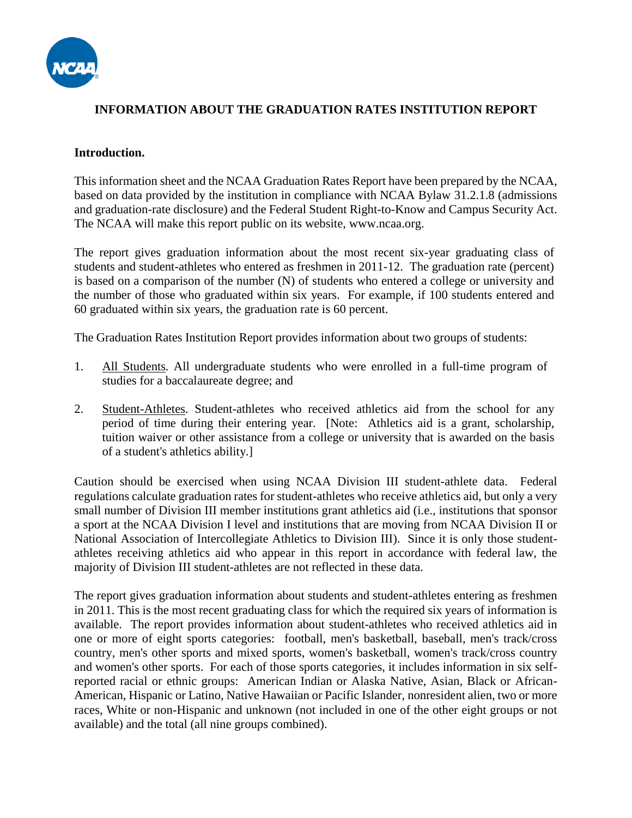

## **INFORMATION ABOUT THE GRADUATION RATES INSTITUTION REPORT**

### **Introduction.**

This information sheet and the NCAA Graduation Rates Report have been prepared by the NCAA, based on data provided by the institution in compliance with NCAA Bylaw 31.2.1.8 (admissions and graduation-rate disclosure) and the Federal Student Right-to-Know and Campus Security Act. The NCAA will make this report public on its website, www.ncaa.org.

The report gives graduation information about the most recent six-year graduating class of students and student-athletes who entered as freshmen in 2011-12. The graduation rate (percent) is based on a comparison of the number (N) of students who entered a college or university and the number of those who graduated within six years. For example, if 100 students entered and 60 graduated within six years, the graduation rate is 60 percent.

The Graduation Rates Institution Report provides information about two groups of students:

- 1. All Students. All undergraduate students who were enrolled in a full-time program of studies for a baccalaureate degree; and
- 2. Student-Athletes. Student-athletes who received athletics aid from the school for any period of time during their entering year. [Note: Athletics aid is a grant, scholarship, tuition waiver or other assistance from a college or university that is awarded on the basis of a student's athletics ability.]

Caution should be exercised when using NCAA Division III student-athlete data. Federal regulations calculate graduation rates for student-athletes who receive athletics aid, but only a very small number of Division III member institutions grant athletics aid (i.e., institutions that sponsor a sport at the NCAA Division I level and institutions that are moving from NCAA Division II or National Association of Intercollegiate Athletics to Division III). Since it is only those studentathletes receiving athletics aid who appear in this report in accordance with federal law, the majority of Division III student-athletes are not reflected in these data.

The report gives graduation information about students and student-athletes entering as freshmen in 2011. This is the most recent graduating class for which the required six years of information is available. The report provides information about student-athletes who received athletics aid in one or more of eight sports categories: football, men's basketball, baseball, men's track/cross country, men's other sports and mixed sports, women's basketball, women's track/cross country and women's other sports. For each of those sports categories, it includes information in six selfreported racial or ethnic groups: American Indian or Alaska Native, Asian, Black or African-American, Hispanic or Latino, Native Hawaiian or Pacific Islander, nonresident alien, two or more races, White or non-Hispanic and unknown (not included in one of the other eight groups or not available) and the total (all nine groups combined).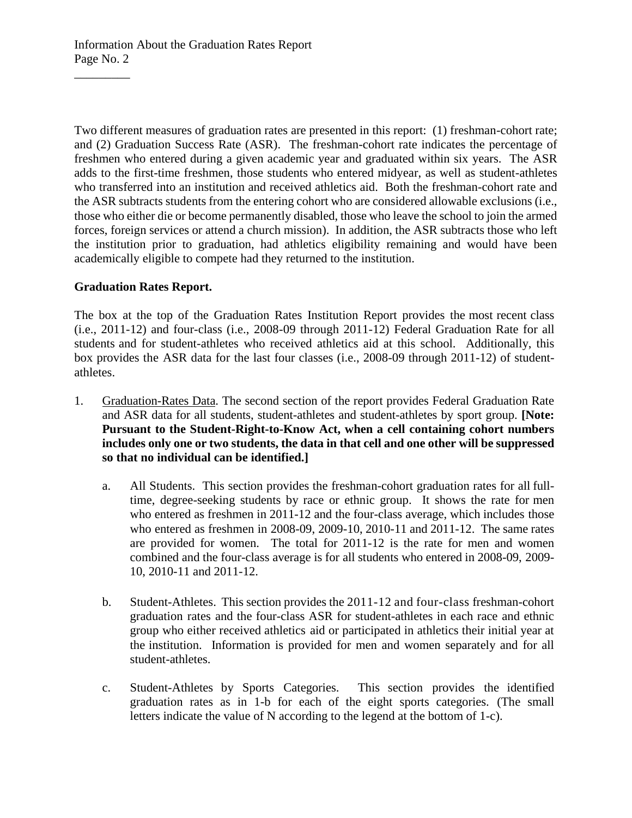Information About the Graduation Rates Report Page No. 2

Two different measures of graduation rates are presented in this report: (1) freshman-cohort rate; and (2) Graduation Success Rate (ASR). The freshman-cohort rate indicates the percentage of freshmen who entered during a given academic year and graduated within six years. The ASR adds to the first-time freshmen, those students who entered midyear, as well as student-athletes who transferred into an institution and received athletics aid. Both the freshman-cohort rate and the ASR subtracts students from the entering cohort who are considered allowable exclusions (i.e., those who either die or become permanently disabled, those who leave the school to join the armed forces, foreign services or attend a church mission). In addition, the ASR subtracts those who left the institution prior to graduation, had athletics eligibility remaining and would have been academically eligible to compete had they returned to the institution.

## **Graduation Rates Report.**

 $\overline{\phantom{a}}$ 

The box at the top of the Graduation Rates Institution Report provides the most recent class (i.e., 2011-12) and four-class (i.e., 2008-09 through 2011-12) Federal Graduation Rate for all students and for student-athletes who received athletics aid at this school. Additionally, this box provides the ASR data for the last four classes (i.e., 2008-09 through 2011-12) of studentathletes.

- 1. Graduation-Rates Data. The second section of the report provides Federal Graduation Rate and ASR data for all students, student-athletes and student-athletes by sport group. **[Note: Pursuant to the Student-Right-to-Know Act, when a cell containing cohort numbers includes only one or two students, the data in that cell and one other will be suppressed so that no individual can be identified.]**
	- a. All Students. This section provides the freshman-cohort graduation rates for all fulltime, degree-seeking students by race or ethnic group. It shows the rate for men who entered as freshmen in 2011-12 and the four-class average, which includes those who entered as freshmen in 2008-09, 2009-10, 2010-11 and 2011-12. The same rates are provided for women. The total for 2011-12 is the rate for men and women combined and the four-class average is for all students who entered in 2008-09, 2009- 10, 2010-11 and 2011-12.
	- b. Student-Athletes. This section provides the 2011-12 and four-class freshman-cohort graduation rates and the four-class ASR for student-athletes in each race and ethnic group who either received athletics aid or participated in athletics their initial year at the institution. Information is provided for men and women separately and for all student-athletes.
	- c. Student-Athletes by Sports Categories. This section provides the identified graduation rates as in 1-b for each of the eight sports categories. (The small letters indicate the value of N according to the legend at the bottom of 1-c).